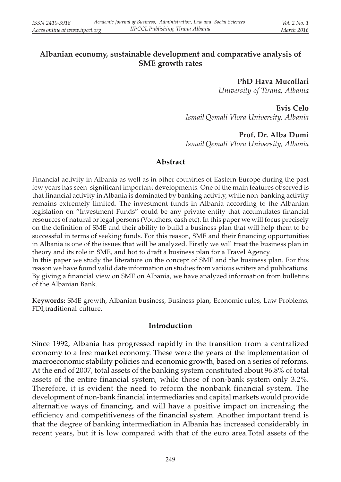# Albanian economy, sustainable development and comparative analysis of SME growth rates

PhD Hava Mucollari

University of Tirana, Albania

Evis Celo Ismail Qemali Vlora University, Albania

# Prof. Dr. Alba Dumi

Ismail Qemali Vlora University, Albania

#### Abstract

Financial activity in Albania as well as in other countries of Eastern Europe during the past few years has seen significant important developments. One of the main features observed is that financial activity in Albania is dominated by banking activity, while non-banking activity remains extremely limited. The investment funds in Albania according to the Albanian legislation on "Investment Funds" could be any private entity that accumulates financial resources of natural or legal persons (Vouchers, cash etc). In this paper we will focus precisely on the definition of SME and their ability to build a business plan that will help them to be successful in terms of seeking funds. For this reason, SME and their financing opportunities in Albania is one of the issues that will be analyzed. Firstly we will treat the business plan in theory and its role in SME, and hot to draft a business plan for a Travel Agency.

In this paper we study the literature on the concept of SME and the business plan. For this reason we have found valid date information on studies from various writers and publications. By giving a financial view on SME on Albania, we have analyzed information from bulletins of the Albanian Bank.

Keywords: SME growth, Albanian business, Business plan, Economic rules, Law Problems, FDI,traditional culture.

#### Introduction

Since 1992, Albania has progressed rapidly in the transition from a centralized economy to a free market economy. These were the years of the implementation of macroeconomic stability policies and economic growth, based on a series of reforms. At the end of 2007, total assets of the banking system constituted about 96.8% of total assets of the entire financial system, while those of non-bank system only 3.2%. Therefore, it is evident the need to reform the nonbank financial system. The development of non-bank financial intermediaries and capital markets would provide alternative ways of financing, and will have a positive impact on increasing the efficiency and competitiveness of the financial system. Another important trend is that the degree of banking intermediation in Albania has increased considerably in recent years, but it is low compared with that of the euro area.Total assets of the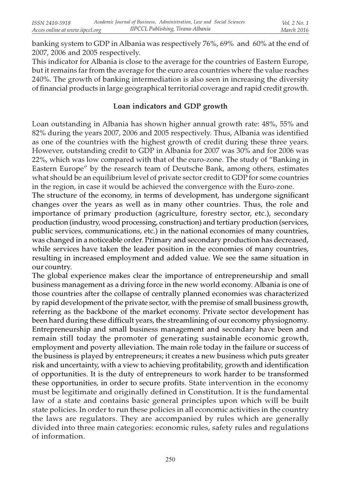banking system to GDP in Albania was respectively 76%, 69% and 60% at the end of 2007, 2006 and 2005 respectively.

This indicator for Albania is close to the average for the countries of Eastern Europe, but it remains far from the average for the euro area countries where the value reaches 240%. The growth of banking intermediation is also seen in increasing the diversity of financial products in large geographical territorial coverage and rapid credit growth.

### Loan indicators and GDP growth

Loan outstanding in Albania has shown higher annual growth rate: 48%, 55% and 82% during the years 2007, 2006 and 2005 respectively. Thus, Albania was identified as one of the countries with the highest growth of credit during these three years. However, outstanding credit to GDP in Albania for 2007 was 30% and for 2006 was 22%, which was low compared with that of the euro-zone. The study of "Banking in Eastern Europe" by the research team of Deutsche Bank, among others, estimates what should be an equilibrium level of private sector credit to GDP for some countries in the region, in case it would be achieved the convergence with the Euro-zone.

The structure of the economy, in terms of development, has undergone significant changes over the years as well as in many other countries. Thus, the role and importance of primary production (agriculture, forestry sector, etc.), secondary production (industry, wood processing, construction) and tertiary production (services, public services, communications, etc.) in the national economies of many countries, was changed in a noticeable order. Primary and secondary production has decreased, while services have taken the leader position in the economies of many countries, resulting in increased employment and added value. We see the same situation in our country.

The global experience makes clear the importance of entrepreneurship and small business management as a driving force in the new world economy. Albania is one of those countries after the collapse of centrally planned economies was characterized by rapid development of the private sector, with the premise of small business growth, referring as the backbone of the market economy. Private sector development has been hard during these difficult years, the streamlining of our economy physiognomy. Entrepreneurship and small business management and secondary have been and remain still today the promoter of generating sustainable economic growth, employment and poverty alleviation. The main role today in the failure or success of the business is played by entrepreneurs; it creates a new business which puts greater risk and uncertainty, with a view to achieving profitability, growth and identification of opportunities. It is the duty of entrepreneurs to work harder to be transformed these opportunities, in order to secure profits. State intervention in the economy must be legitimate and originally defined in Constitution. It is the fundamental law of a state and contains basic general principles upon which will be built state policies. In order to run these policies in all economic activities in the country the laws are regulators. They are accompanied by rules which are generally divided into three main categories: economic rules, safety rules and regulations of information.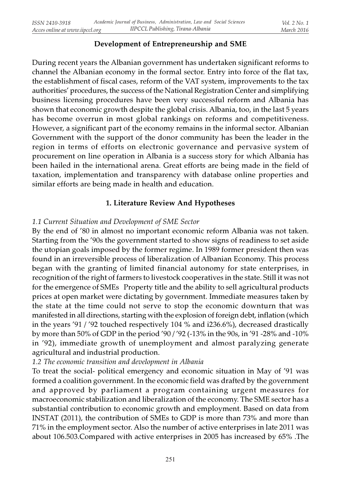# Development of Entrepreneurship and SME

During recent years the Albanian government has undertaken significant reforms to channel the Albanian economy in the formal sector. Entry into force of the flat tax, the establishment of fiscal cases, reform of the VAT system, improvements to the tax authorities' procedures, the success of the National Registration Center and simplifying business licensing procedures have been very successful reform and Albania has shown that economic growth despite the global crisis. Albania, too, in the last 5 years has become overrun in most global rankings on reforms and competitiveness. However, a significant part of the economy remains in the informal sector. Albanian Government with the support of the donor community has been the leader in the region in terms of efforts on electronic governance and pervasive system of procurement on line operation in Albania is a success story for which Albania has been hailed in the international arena. Great efforts are being made in the field of taxation, implementation and transparency with database online properties and similar efforts are being made in health and education.

# 1. Literature Review And Hypotheses

# 1.1 Current Situation and Development of SME Sector

By the end of '80 in almost no important economic reform Albania was not taken. Starting from the '90s the government started to show signs of readiness to set aside the utopian goals imposed by the former regime. In 1989 former president then was found in an irreversible process of liberalization of Albanian Economy. This process began with the granting of limited financial autonomy for state enterprises, in recognition of the right of farmers to livestock cooperatives in the state. Still it was not for the emergence of SMEs Property title and the ability to sell agricultural products prices at open market were dictating by government. Immediate measures taken by the state at the time could not serve to stop the economic downturn that was manifested in all directions, starting with the explosion of foreign debt, inflation (which in the years '91 / '92 touched respectively 104 % and i236.6%), decreased drastically by more than 50% of GDP in the period '90 / '92 (-13% in the 90s, in '91 -28% and -10% in '92), immediate growth of unemployment and almost paralyzing generate agricultural and industrial production.

1.2 The economic transition and development in Albania

To treat the social- political emergency and economic situation in May of '91 was formed a coalition government. In the economic field was drafted by the government and approved by parliament a program containing urgent measures for macroeconomic stabilization and liberalization of the economy. The SME sector has a substantial contribution to economic growth and employment. Based on data from INSTAT (2011), the contribution of SMEs to GDP is more than 73% and more than 71% in the employment sector. Also the number of active enterprises in late 2011 was about 106.503.Compared with active enterprises in 2005 has increased by 65% .The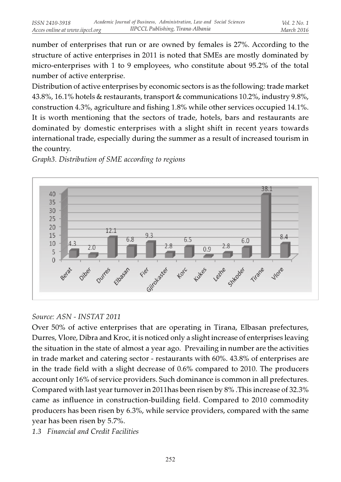number of enterprises that run or are owned by females is 27%. According to the structure of active enterprises in 2011 is noted that SMEs are mostly dominated by micro-enterprises with 1 to 9 employees, who constitute about 95.2% of the total number of active enterprise.

Distribution of active enterprises by economic sectors is as the following: trade market 43.8%, 16.1% hotels & restaurants, transport & communications 10.2%, industry 9.8%, construction 4.3%, agriculture and fishing 1.8% while other services occupied 14.1%. It is worth mentioning that the sectors of trade, hotels, bars and restaurants are dominated by domestic enterprises with a slight shift in recent years towards international trade, especially during the summer as a result of increased tourism in the country.



Graph3. Distribution of SME according to regions

# Source: ASN - INSTAT 2011

Over 50% of active enterprises that are operating in Tirana, Elbasan prefectures, Durres, Vlore, Dibra and Kroc, it is noticed only a slight increase of enterprises leaving the situation in the state of almost a year ago. Prevailing in number are the activities in trade market and catering sector - restaurants with 60%. 43.8% of enterprises are in the trade field with a slight decrease of 0.6% compared to 2010. The producers account only 16% of service providers. Such dominance is common in all prefectures. Compared with last year turnover in 2011has been risen by 8% .This increase of 32.3% came as influence in construction-building field. Compared to 2010 commodity producers has been risen by 6.3%, while service providers, compared with the same year has been risen by 5.7%.

1.3 Financial and Credit Facilities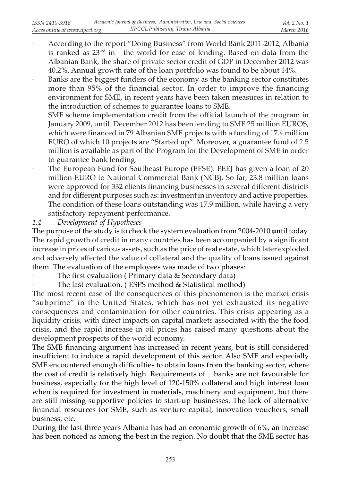- · According to the report "Doing Business" from World Bank 2011-2012, Albania is ranked as 23-rd in the world for ease of lending. Based on data from the Albanian Bank, the share of private sector credit of GDP in December 2012 was 40.2%. Annual growth rate of the loan portfolio was found to be about 14%.
- Banks are the biggest funders of the economy as the banking sector constitutes more than 95% of the financial sector. In order to improve the financing environment for SME, in recent years have been taken measures in relation to the introduction of schemes to guarantee loans to SME.
- SME scheme implementation credit from the official launch of the program in January 2009, until. December 2012 has been lending to SME 25 million EUROS, which were financed in 79 Albanian SME projects with a funding of 17.4 million EURO of which 10 projects are "Started up". Moreover, a guarantee fund of 2.5 million is available as part of the Program for the Development of SME in order to guarantee bank lending.
- · The European Fund for Southeast Europe (EFSE). FEEJ has given a loan of 20 million EURO to National Commercial Bank (NCB). So far, 23.8 million loans were approved for 332 clients financing businesses in several different districts and for different purposes such as: investment in inventory and active properties. The condition of these loans outstanding was 17.9 million, while having a very satisfactory repayment performance.

1.4 Development of Hypotheses

The purpose of the study is to check the system evaluation from 2004-2010 until today. The rapid growth of credit in many countries has been accompanied by a significant increase in prices of various assets, such as the price of real estate, which later exploded and adversely affected the value of collateral and the quality of loans issued against them. The evaluation of the employees was made of two phases:

The first evaluation ( Primary data & Secondary data)

The last evaluation. (ESPS method & Statistical method)

The most recent case of the consequences of this phenomenon is the market crisis "subprime" in the United States, which has not yet exhausted its negative consequences and contamination for other countries. This crisis appearing as a liquidity crisis, with direct impacts on capital markets associated with the the food crisis, and the rapid increase in oil prices has raised many questions about the development prospects of the world economy.

The SME financing argument has increased in recent years, but is still considered insufficient to induce a rapid development of this sector. Also SME and especially SME encountered enough difficulties to obtain loans from the banking sector, where the cost of credit is relatively high. Requirements of banks are not favourable for business, especially for the high level of 120-150% collateral and high interest loan when is required for investment in materials, machinery and equipment, but there are still missing supportive policies to start-up businesses. The lack of alternative financial resources for SME, such as venture capital, innovation vouchers, small business, etc.

During the last three years Albania has had an economic growth of 6%, an increase has been noticed as among the best in the region. No doubt that the SME sector has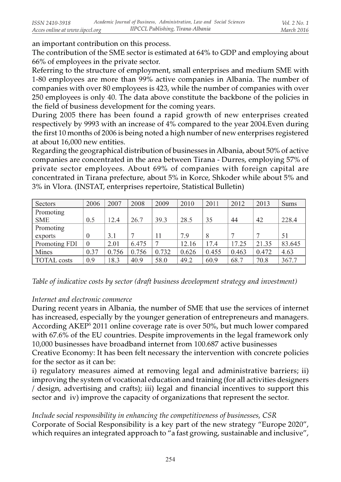an important contribution on this process.

The contribution of the SME sector is estimated at 64% to GDP and employing about 66% of employees in the private sector.

Referring to the structure of employment, small enterprises and medium SME with 1-80 employees are more than 99% active companies in Albania. The number of companies with over 80 employees is 423, while the number of companies with over 250 employees is only 40. The data above constitute the backbone of the policies in the field of business development for the coming years.

During 2005 there has been found a rapid growth of new enterprises created respectively by 9993 with an increase of 4% compared to the year 2004.Even during the first 10 months of 2006 is being noted a high number of new enterprises registered at about 16,000 new entities.

Regarding the geographical distribution of businesses in Albania, about 50% of active companies are concentrated in the area between Tirana - Durres, employing 57% of private sector employees. About 69% of companies with foreign capital are concentrated in Tirana prefecture, about 5% in Korce, Shkoder while about 5% and 3% in Vlora. (INSTAT, enterprises repertoire, Statistical Bulletin)

| Sectors       | 2006     | 2007  | 2008  | 2009  | 2010  | 2011  | 2012  | 2013  | <b>Sums</b> |
|---------------|----------|-------|-------|-------|-------|-------|-------|-------|-------------|
| Promoting     |          |       |       |       |       |       |       |       |             |
| <b>SME</b>    | 0.5      | 12.4  | 26.7  | 39.3  | 28.5  | 35    | 44    | 42    | 228.4       |
| Promoting     |          |       |       |       |       |       |       |       |             |
| exports       | $\Omega$ | 3.1   |       | 11    | 7.9   | 8     |       |       | 51          |
| Promoting FDI | $\Omega$ | 2.01  | 6.475 |       | 12.16 | 17.4  | 17.25 | 21.35 | 83.645      |
| Mines         | 0.37     | 0.756 | 0.756 | 0.732 | 0.626 | 0.455 | 0.463 | 0.472 | 4.63        |
| TOTAL costs   | 0.9      | 18.3  | 40.9  | 58.0  | 49.2  | 60.9  | 68.7  | 70.8  | 367.7       |

Table of indicative costs by sector (draft business development strategy and investment)

#### Internet and electronic commerce

During recent years in Albania, the number of SME that use the services of internet has increased, especially by the younger generation of entrepreneurs and managers. According AKEP<sup>5</sup> 2011 online coverage rate is over 50%, but much lower compared with 67.6% of the EU countries. Despite improvements in the legal framework only 10,000 businesses have broadband internet from 100.687 active businesses

Creative Economy: It has been felt necessary the intervention with concrete policies for the sector as it can be:

i) regulatory measures aimed at removing legal and administrative barriers; ii) improving the system of vocational education and training (for all activities designers / design, advertising and crafts); iii) legal and financial incentives to support this sector and iv) improve the capacity of organizations that represent the sector.

#### Include social responsibility in enhancing the competitiveness of businesses, CSR

Corporate of Social Responsibility is a key part of the new strategy "Europe 2020", which requires an integrated approach to "a fast growing, sustainable and inclusive",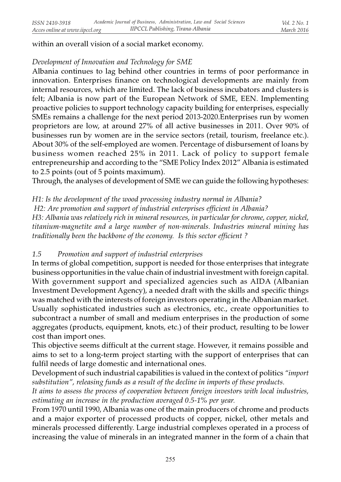within an overall vision of a social market economy.

# Development of Innovation and Technology for SME

Albania continues to lag behind other countries in terms of poor performance in innovation. Enterprises finance on technological developments are mainly from internal resources, which are limited. The lack of business incubators and clusters is felt; Albania is now part of the European Network of SME, EEN. Implementing proactive policies to support technology capacity building for enterprises, especially SMEs remains a challenge for the next period 2013-2020.Enterprises run by women proprietors are low, at around 27% of all active businesses in 2011. Over 90% of businesses run by women are in the service sectors (retail, tourism, freelance etc.). About 30% of the self-employed are women. Percentage of disbursement of loans by business women reached 25% in 2011. Lack of policy to support female entrepreneurship and according to the "SME Policy Index 2012" Albania is estimated to 2.5 points (out of 5 points maximum).

Through, the analyses of development of SME we can guide the following hypotheses:

H1: Is the development of the wood processing industry normal in Albania?

H2: Are promotion and support of industrial enterprises efficient in Albania?

H3: Albania was relatively rich in mineral resources, in particular for chrome, copper, nickel, titanium-magnetite and a large number of non-minerals. Industries mineral mining has traditionally been the backbone of the economy. Is this sector efficient ?

# 1.5 Promotion and support of industrial enterprises

In terms of global competition, support is needed for those enterprises that integrate business opportunities in the value chain of industrial investment with foreign capital. With government support and specialized agencies such as AIDA (Albanian Investment Development Agency), a needed draft with the skills and specific things was matched with the interests of foreign investors operating in the Albanian market. Usually sophisticated industries such as electronics, etc., create opportunities to subcontract a number of small and medium enterprises in the production of some aggregates (products, equipment, knots, etc.) of their product, resulting to be lower cost than import ones.

This objective seems difficult at the current stage. However, it remains possible and aims to set to a long-term project starting with the support of enterprises that can fulfil needs of large domestic and international ones.

Development of such industrial capabilities is valued in the context of politics "import substitution", releasing funds as a result of the decline in imports of these products.

It aims to assess the process of cooperation between foreign investors with local industries, estimating an increase in the production averaged 0.5-1% per year.

From 1970 until 1990, Albania was one of the main producers of chrome and products and a major exporter of processed products of copper, nickel, other metals and minerals processed differently. Large industrial complexes operated in a process of increasing the value of minerals in an integrated manner in the form of a chain that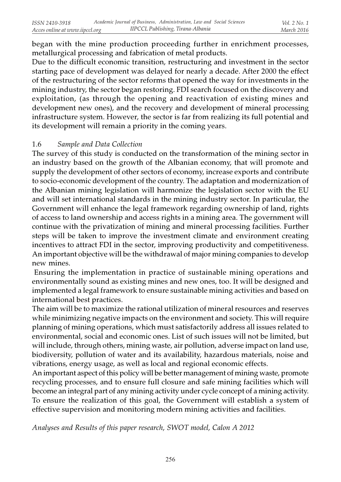began with the mine production proceeding further in enrichment processes, metallurgical processing and fabrication of metal products.

Due to the difficult economic transition, restructuring and investment in the sector starting pace of development was delayed for nearly a decade. After 2000 the effect of the restructuring of the sector reforms that opened the way for investments in the mining industry, the sector began restoring. FDI search focused on the discovery and exploitation, (as through the opening and reactivation of existing mines and development new ones), and the recovery and development of mineral processing infrastructure system. However, the sector is far from realizing its full potential and its development will remain a priority in the coming years.

#### 1.6 Sample and Data Collection

The survey of this study is conducted on the transformation of the mining sector in an industry based on the growth of the Albanian economy, that will promote and supply the development of other sectors of economy, increase exports and contribute to socio-economic development of the country. The adaptation and modernization of the Albanian mining legislation will harmonize the legislation sector with the EU and will set international standards in the mining industry sector. In particular, the Government will enhance the legal framework regarding ownership of land, rights of access to land ownership and access rights in a mining area. The government will continue with the privatization of mining and mineral processing facilities. Further steps will be taken to improve the investment climate and environment creating incentives to attract FDI in the sector, improving productivity and competitiveness. An important objective will be the withdrawal of major mining companies to develop new mines.

 Ensuring the implementation in practice of sustainable mining operations and environmentally sound as existing mines and new ones, too. It will be designed and implemented a legal framework to ensure sustainable mining activities and based on international best practices.

The aim will be to maximize the rational utilization of mineral resources and reserves while minimizing negative impacts on the environment and society. This will require planning of mining operations, which must satisfactorily address all issues related to environmental, social and economic ones. List of such issues will not be limited, but will include, through others, mining waste, air pollution, adverse impact on land use, biodiversity, pollution of water and its availability, hazardous materials, noise and vibrations, energy usage, as well as local and regional economic effects.

An important aspect of this policy will be better management of mining waste, promote recycling processes, and to ensure full closure and safe mining facilities which will become an integral part of any mining activity under cycle concept of a mining activity. To ensure the realization of this goal, the Government will establish a system of effective supervision and monitoring modern mining activities and facilities.

Analyses and Results of this paper research, SWOT model, Calon A 2012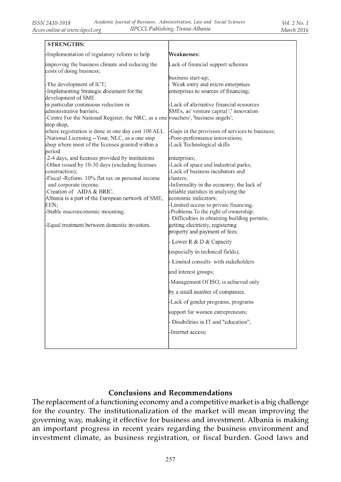| <b>STRENGTHS:</b>                                                                                                                                                                                                               |                                                                                                                                                                                                                         |  |  |  |  |
|---------------------------------------------------------------------------------------------------------------------------------------------------------------------------------------------------------------------------------|-------------------------------------------------------------------------------------------------------------------------------------------------------------------------------------------------------------------------|--|--|--|--|
| -Implementation of regulatory reform to help                                                                                                                                                                                    | Weaknesses:                                                                                                                                                                                                             |  |  |  |  |
| improving the business climate and reducing the<br>costs of doing business;                                                                                                                                                     | Lack of financial support schemes                                                                                                                                                                                       |  |  |  |  |
| -The development of ICT;<br>-Implementing Strategic document for the<br>development of SME<br>in particular continuous reduction in                                                                                             | business start-up;<br>- Weak entry and micro enterprises<br>enterprises to sources of financing;<br>Lack of alternative financial resources                                                                             |  |  |  |  |
| administrative barriers;<br>-Centre For the National Register, the NRC, as a one vouchers', 'business angels';<br>stop shop,                                                                                                    | SMEs, as' venture capital ',' innovation                                                                                                                                                                                |  |  |  |  |
| where registration is done in one day cost 100 ALL<br>-National Licensing --Your, NLC, as a one stop<br>shop where most of the licenses granted within a<br>period                                                              | Gaps in the provision of services to business;<br>Poor-performance innovations;<br>Lack Technological skills                                                                                                            |  |  |  |  |
| -2-4 days, and licenses provided by institutions<br>-Other issued by 10-30 days (excluding licenses<br>construction);<br>-Fiscal -Reform. 10% flat tax on personal income<br>and corporate income.<br>-Creation of AIDA & BRIC. | enterprises;<br>-Lack of space and industrial parks;<br>Lack of business incubators and<br>clusters;<br>Informality in the economy; the lack of<br>reliable statistics in analysing the                                 |  |  |  |  |
| Albania is a part of the European network of SME,<br>EEN;<br>-Stable macroeconomic mounting.<br>-Equal treatment between domestic investors.                                                                                    | economic indicators;<br>Limited access to private financing.<br>Problems To the right of ownership;<br>Difficulties in obtaining building permits,<br>getting electricity, registering<br>property and payment of fees; |  |  |  |  |
|                                                                                                                                                                                                                                 | Lower R & D & Capacity                                                                                                                                                                                                  |  |  |  |  |
|                                                                                                                                                                                                                                 | (especially in technical fields);                                                                                                                                                                                       |  |  |  |  |
|                                                                                                                                                                                                                                 | - Limited consults with stakeholders                                                                                                                                                                                    |  |  |  |  |
|                                                                                                                                                                                                                                 | and interest groups;                                                                                                                                                                                                    |  |  |  |  |
|                                                                                                                                                                                                                                 | Management Of ISO, is achieved only                                                                                                                                                                                     |  |  |  |  |
|                                                                                                                                                                                                                                 | by a small number of companies.                                                                                                                                                                                         |  |  |  |  |
|                                                                                                                                                                                                                                 | -Lack of gender programs, programs                                                                                                                                                                                      |  |  |  |  |
|                                                                                                                                                                                                                                 | support for women entrepreneurs;                                                                                                                                                                                        |  |  |  |  |
|                                                                                                                                                                                                                                 | - Disabilities in IT and "education",                                                                                                                                                                                   |  |  |  |  |
|                                                                                                                                                                                                                                 | -Internet access;                                                                                                                                                                                                       |  |  |  |  |
|                                                                                                                                                                                                                                 |                                                                                                                                                                                                                         |  |  |  |  |

# Conclusions and Recommendations

The replacement of a functioning economy and a competitive market is a big challenge for the country. The institutionalization of the market will mean improving the governing way, making it effective for business and investment. Albania is making an important progress in recent years regarding the business environment and investment climate, as business registration, or fiscal burden. Good laws and